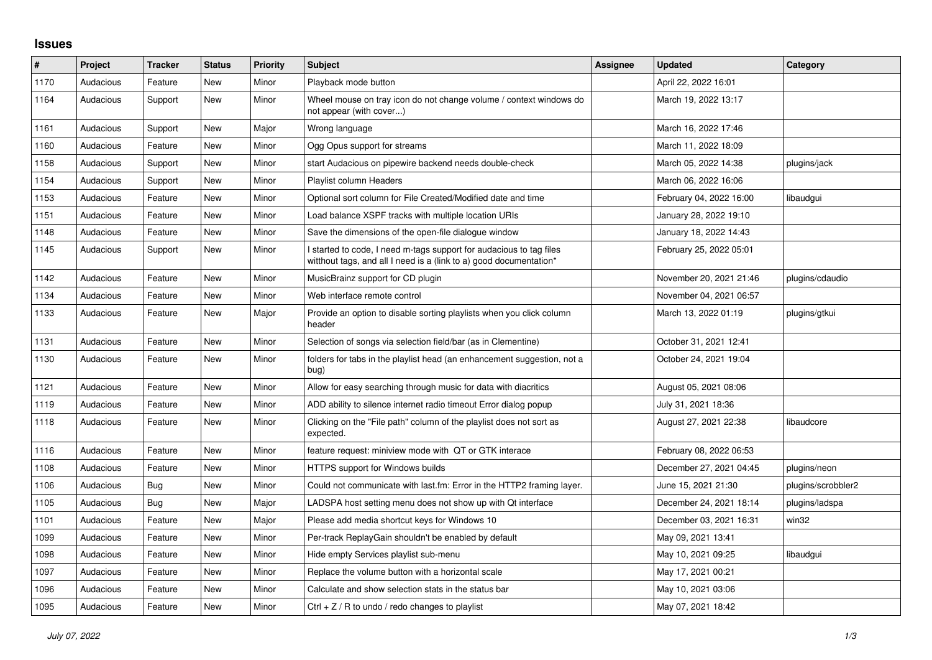## **Issues**

| $\sharp$ | Project   | <b>Tracker</b> | <b>Status</b> | <b>Priority</b> | <b>Subject</b>                                                                                                                            | Assignee | <b>Updated</b>          | Category           |
|----------|-----------|----------------|---------------|-----------------|-------------------------------------------------------------------------------------------------------------------------------------------|----------|-------------------------|--------------------|
| 1170     | Audacious | Feature        | <b>New</b>    | Minor           | Playback mode button                                                                                                                      |          | April 22, 2022 16:01    |                    |
| 1164     | Audacious | Support        | <b>New</b>    | Minor           | Wheel mouse on tray icon do not change volume / context windows do<br>not appear (with cover)                                             |          | March 19, 2022 13:17    |                    |
| 1161     | Audacious | Support        | New           | Major           | Wrong language                                                                                                                            |          | March 16, 2022 17:46    |                    |
| 1160     | Audacious | Feature        | New           | Minor           | Ogg Opus support for streams                                                                                                              |          | March 11, 2022 18:09    |                    |
| 1158     | Audacious | Support        | New           | Minor           | start Audacious on pipewire backend needs double-check                                                                                    |          | March 05, 2022 14:38    | plugins/jack       |
| 1154     | Audacious | Support        | New           | Minor           | <b>Playlist column Headers</b>                                                                                                            |          | March 06, 2022 16:06    |                    |
| 1153     | Audacious | Feature        | New           | Minor           | Optional sort column for File Created/Modified date and time                                                                              |          | February 04, 2022 16:00 | libaudgui          |
| 1151     | Audacious | Feature        | New           | Minor           | Load balance XSPF tracks with multiple location URIs                                                                                      |          | January 28, 2022 19:10  |                    |
| 1148     | Audacious | Feature        | New           | Minor           | Save the dimensions of the open-file dialogue window                                                                                      |          | January 18, 2022 14:43  |                    |
| 1145     | Audacious | Support        | New           | Minor           | I started to code, I need m-tags support for audacious to tag files<br>witthout tags, and all I need is a (link to a) good documentation* |          | February 25, 2022 05:01 |                    |
| 1142     | Audacious | Feature        | New           | Minor           | MusicBrainz support for CD plugin                                                                                                         |          | November 20, 2021 21:46 | plugins/cdaudio    |
| 1134     | Audacious | Feature        | New           | Minor           | Web interface remote control                                                                                                              |          | November 04, 2021 06:57 |                    |
| 1133     | Audacious | Feature        | New           | Major           | Provide an option to disable sorting playlists when you click column<br>header                                                            |          | March 13, 2022 01:19    | plugins/gtkui      |
| 1131     | Audacious | Feature        | <b>New</b>    | Minor           | Selection of songs via selection field/bar (as in Clementine)                                                                             |          | October 31, 2021 12:41  |                    |
| 1130     | Audacious | Feature        | New           | Minor           | folders for tabs in the playlist head (an enhancement suggestion, not a<br>bug)                                                           |          | October 24, 2021 19:04  |                    |
| 1121     | Audacious | Feature        | New           | Minor           | Allow for easy searching through music for data with diacritics                                                                           |          | August 05, 2021 08:06   |                    |
| 1119     | Audacious | Feature        | New           | Minor           | ADD ability to silence internet radio timeout Error dialog popup                                                                          |          | July 31, 2021 18:36     |                    |
| 1118     | Audacious | Feature        | New           | Minor           | Clicking on the "File path" column of the playlist does not sort as<br>expected.                                                          |          | August 27, 2021 22:38   | libaudcore         |
| 1116     | Audacious | Feature        | New           | Minor           | feature request: miniview mode with QT or GTK interace                                                                                    |          | February 08, 2022 06:53 |                    |
| 1108     | Audacious | Feature        | New           | Minor           | HTTPS support for Windows builds                                                                                                          |          | December 27, 2021 04:45 | plugins/neon       |
| 1106     | Audacious | Bug            | New           | Minor           | Could not communicate with last.fm: Error in the HTTP2 framing layer.                                                                     |          | June 15, 2021 21:30     | plugins/scrobbler2 |
| 1105     | Audacious | Bug            | New           | Major           | LADSPA host setting menu does not show up with Qt interface                                                                               |          | December 24, 2021 18:14 | plugins/ladspa     |
| 1101     | Audacious | Feature        | New           | Major           | Please add media shortcut keys for Windows 10                                                                                             |          | December 03, 2021 16:31 | win32              |
| 1099     | Audacious | Feature        | New           | Minor           | Per-track ReplayGain shouldn't be enabled by default                                                                                      |          | May 09, 2021 13:41      |                    |
| 1098     | Audacious | Feature        | New           | Minor           | Hide empty Services playlist sub-menu                                                                                                     |          | May 10, 2021 09:25      | libaudgui          |
| 1097     | Audacious | Feature        | New           | Minor           | Replace the volume button with a horizontal scale                                                                                         |          | May 17, 2021 00:21      |                    |
| 1096     | Audacious | Feature        | New           | Minor           | Calculate and show selection stats in the status bar                                                                                      |          | May 10, 2021 03:06      |                    |
| 1095     | Audacious | Feature        | New           | Minor           | Ctrl $+$ Z / R to undo / redo changes to playlist                                                                                         |          | May 07, 2021 18:42      |                    |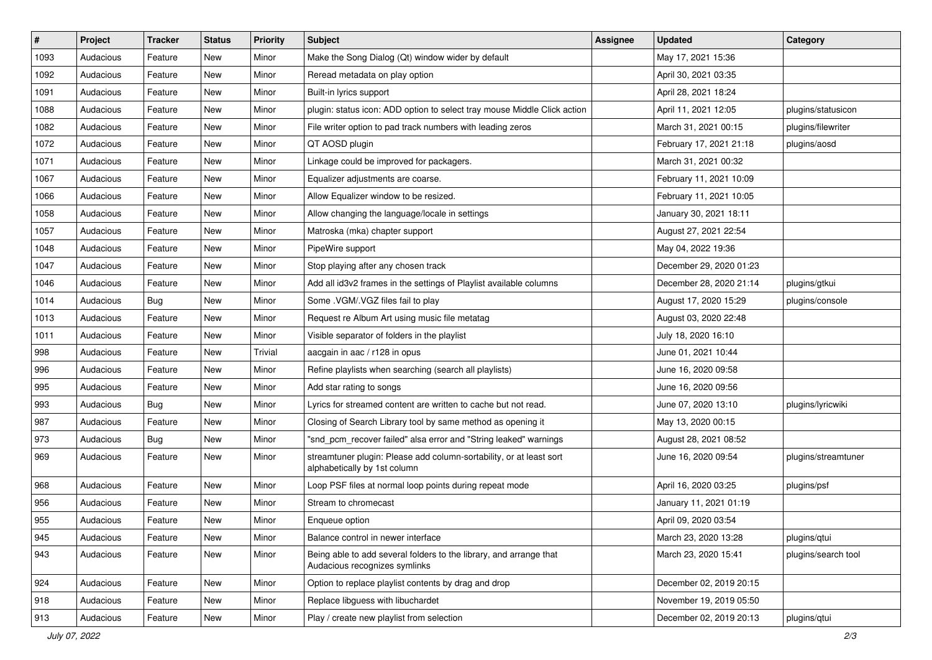| $\vert$ # | Project   | <b>Tracker</b> | <b>Status</b> | <b>Priority</b> | <b>Subject</b>                                                                                      | <b>Assignee</b> | <b>Updated</b>          | Category            |
|-----------|-----------|----------------|---------------|-----------------|-----------------------------------------------------------------------------------------------------|-----------------|-------------------------|---------------------|
| 1093      | Audacious | Feature        | New           | Minor           | Make the Song Dialog (Qt) window wider by default                                                   |                 | May 17, 2021 15:36      |                     |
| 1092      | Audacious | Feature        | New           | Minor           | Reread metadata on play option                                                                      |                 | April 30, 2021 03:35    |                     |
| 1091      | Audacious | Feature        | New           | Minor           | Built-in lyrics support                                                                             |                 | April 28, 2021 18:24    |                     |
| 1088      | Audacious | Feature        | New           | Minor           | plugin: status icon: ADD option to select tray mouse Middle Click action                            |                 | April 11, 2021 12:05    | plugins/statusicon  |
| 1082      | Audacious | Feature        | New           | Minor           | File writer option to pad track numbers with leading zeros                                          |                 | March 31, 2021 00:15    | plugins/filewriter  |
| 1072      | Audacious | Feature        | New           | Minor           | QT AOSD plugin                                                                                      |                 | February 17, 2021 21:18 | plugins/aosd        |
| 1071      | Audacious | Feature        | New           | Minor           | Linkage could be improved for packagers.                                                            |                 | March 31, 2021 00:32    |                     |
| 1067      | Audacious | Feature        | New           | Minor           | Equalizer adjustments are coarse.                                                                   |                 | February 11, 2021 10:09 |                     |
| 1066      | Audacious | Feature        | New           | Minor           | Allow Equalizer window to be resized.                                                               |                 | February 11, 2021 10:05 |                     |
| 1058      | Audacious | Feature        | New           | Minor           | Allow changing the language/locale in settings                                                      |                 | January 30, 2021 18:11  |                     |
| 1057      | Audacious | Feature        | New           | Minor           | Matroska (mka) chapter support                                                                      |                 | August 27, 2021 22:54   |                     |
| 1048      | Audacious | Feature        | New           | Minor           | PipeWire support                                                                                    |                 | May 04, 2022 19:36      |                     |
| 1047      | Audacious | Feature        | New           | Minor           | Stop playing after any chosen track                                                                 |                 | December 29, 2020 01:23 |                     |
| 1046      | Audacious | Feature        | New           | Minor           | Add all id3v2 frames in the settings of Playlist available columns                                  |                 | December 28, 2020 21:14 | plugins/gtkui       |
| 1014      | Audacious | <b>Bug</b>     | New           | Minor           | Some .VGM/.VGZ files fail to play                                                                   |                 | August 17, 2020 15:29   | plugins/console     |
| 1013      | Audacious | Feature        | New           | Minor           | Request re Album Art using music file metatag                                                       |                 | August 03, 2020 22:48   |                     |
| 1011      | Audacious | Feature        | New           | Minor           | Visible separator of folders in the playlist                                                        |                 | July 18, 2020 16:10     |                     |
| 998       | Audacious | Feature        | New           | Trivial         | aacgain in aac / r128 in opus                                                                       |                 | June 01, 2021 10:44     |                     |
| 996       | Audacious | Feature        | New           | Minor           | Refine playlists when searching (search all playlists)                                              |                 | June 16, 2020 09:58     |                     |
| 995       | Audacious | Feature        | New           | Minor           | Add star rating to songs                                                                            |                 | June 16, 2020 09:56     |                     |
| 993       | Audacious | Bug            | New           | Minor           | Lyrics for streamed content are written to cache but not read.                                      |                 | June 07, 2020 13:10     | plugins/lyricwiki   |
| 987       | Audacious | Feature        | New           | Minor           | Closing of Search Library tool by same method as opening it                                         |                 | May 13, 2020 00:15      |                     |
| 973       | Audacious | <b>Bug</b>     | New           | Minor           | "snd_pcm_recover failed" alsa error and "String leaked" warnings                                    |                 | August 28, 2021 08:52   |                     |
| 969       | Audacious | Feature        | New           | Minor           | streamtuner plugin: Please add column-sortability, or at least sort<br>alphabetically by 1st column |                 | June 16, 2020 09:54     | plugins/streamtuner |
| 968       | Audacious | Feature        | New           | Minor           | Loop PSF files at normal loop points during repeat mode                                             |                 | April 16, 2020 03:25    | plugins/psf         |
| 956       | Audacious | Feature        | New           | Minor           | Stream to chromecast                                                                                |                 | January 11, 2021 01:19  |                     |
| 955       | Audacious | Feature        | New           | Minor           | Enqueue option                                                                                      |                 | April 09, 2020 03:54    |                     |
| 945       | Audacious | Feature        | New           | Minor           | Balance control in newer interface                                                                  |                 | March 23, 2020 13:28    | plugins/qtui        |
| 943       | Audacious | Feature        | New           | Minor           | Being able to add several folders to the library, and arrange that<br>Audacious recognizes symlinks |                 | March 23, 2020 15:41    | plugins/search tool |
| 924       | Audacious | Feature        | New           | Minor           | Option to replace playlist contents by drag and drop                                                |                 | December 02, 2019 20:15 |                     |
| 918       | Audacious | Feature        | New           | Minor           | Replace libguess with libuchardet                                                                   |                 | November 19, 2019 05:50 |                     |
| 913       | Audacious | Feature        | New           | Minor           | Play / create new playlist from selection                                                           |                 | December 02, 2019 20:13 | plugins/qtui        |